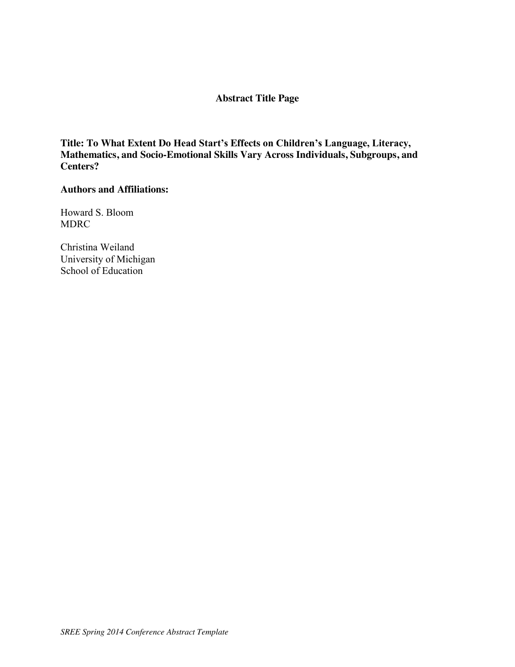# **Abstract Title Page**

**Title: To What Extent Do Head Start's Effects on Children's Language, Literacy, Mathematics, and Socio-Emotional Skills Vary Across Individuals, Subgroups, and Centers?**

### **Authors and Affiliations:**

Howard S. Bloom MDRC

Christina Weiland University of Michigan School of Education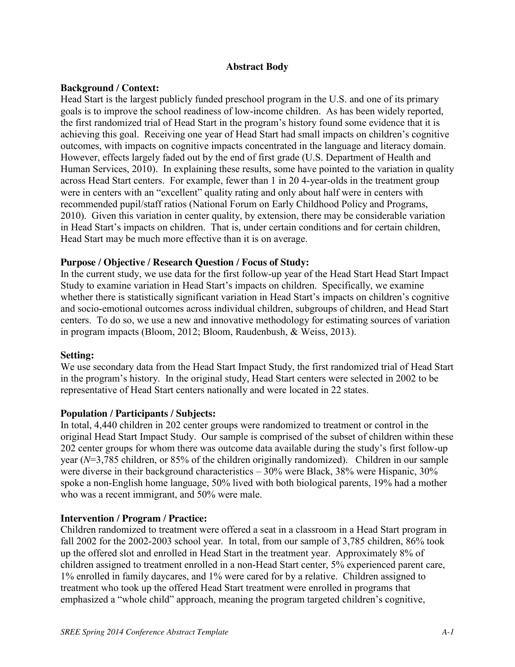## **Abstract Body**

## **Background / Context:**

Head Start is the largest publicly funded preschool program in the U.S. and one of its primary goals is to improve the school readiness of low-income children. As has been widely reported, the first randomized trial of Head Start in the program's history found some evidence that it is achieving this goal. Receiving one year of Head Start had small impacts on children's cognitive outcomes, with impacts on cognitive impacts concentrated in the language and literacy domain. However, effects largely faded out by the end of first grade (U.S. Department of Health and Human Services, 2010). In explaining these results, some have pointed to the variation in quality across Head Start centers. For example, fewer than 1 in 20 4-year-olds in the treatment group were in centers with an "excellent" quality rating and only about half were in centers with recommended pupil/staff ratios (National Forum on Early Childhood Policy and Programs, 2010). Given this variation in center quality, by extension, there may be considerable variation in Head Start's impacts on children. That is, under certain conditions and for certain children, Head Start may be much more effective than it is on average.

## **Purpose / Objective / Research Question / Focus of Study:**

In the current study, we use data for the first follow-up year of the Head Start Head Start Impact Study to examine variation in Head Start's impacts on children. Specifically, we examine whether there is statistically significant variation in Head Start's impacts on children's cognitive and socio-emotional outcomes across individual children, subgroups of children, and Head Start centers. To do so, we use a new and innovative methodology for estimating sources of variation in program impacts (Bloom, 2012; Bloom, Raudenbush, & Weiss, 2013).

## **Setting:**

We use secondary data from the Head Start Impact Study, the first randomized trial of Head Start in the program's history. In the original study, Head Start centers were selected in 2002 to be representative of Head Start centers nationally and were located in 22 states.

### **Population / Participants / Subjects:**

In total, 4,440 children in 202 center groups were randomized to treatment or control in the original Head Start Impact Study. Our sample is comprised of the subset of children within these 202 center groups for whom there was outcome data available during the study's first follow-up year (*N*=3,785 children, or 85% of the children originally randomized). Children in our sample were diverse in their background characteristics – 30% were Black, 38% were Hispanic, 30% spoke a non-English home language, 50% lived with both biological parents, 19% had a mother who was a recent immigrant, and 50% were male.

### **Intervention / Program / Practice:**

Children randomized to treatment were offered a seat in a classroom in a Head Start program in fall 2002 for the 2002-2003 school year. In total, from our sample of 3,785 children, 86% took up the offered slot and enrolled in Head Start in the treatment year. Approximately 8% of children assigned to treatment enrolled in a non-Head Start center, 5% experienced parent care, 1% enrolled in family daycares, and 1% were cared for by a relative. Children assigned to treatment who took up the offered Head Start treatment were enrolled in programs that emphasized a "whole child" approach, meaning the program targeted children's cognitive,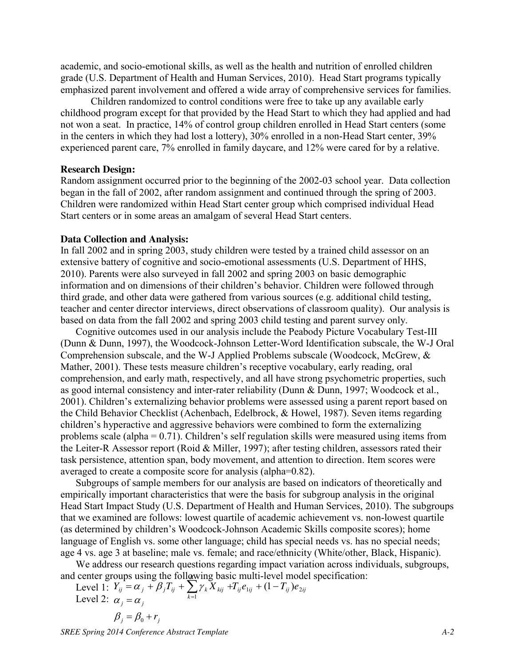academic, and socio-emotional skills, as well as the health and nutrition of enrolled children grade (U.S. Department of Health and Human Services, 2010). Head Start programs typically emphasized parent involvement and offered a wide array of comprehensive services for families.

Children randomized to control conditions were free to take up any available early childhood program except for that provided by the Head Start to which they had applied and had not won a seat. In practice, 14% of control group children enrolled in Head Start centers (some in the centers in which they had lost a lottery), 30% enrolled in a non-Head Start center, 39% experienced parent care, 7% enrolled in family daycare, and 12% were cared for by a relative.

#### **Research Design:**

Random assignment occurred prior to the beginning of the 2002-03 school year. Data collection began in the fall of 2002, after random assignment and continued through the spring of 2003. Children were randomized within Head Start center group which comprised individual Head Start centers or in some areas an amalgam of several Head Start centers.

#### **Data Collection and Analysis:**

In fall 2002 and in spring 2003, study children were tested by a trained child assessor on an extensive battery of cognitive and socio-emotional assessments (U.S. Department of HHS, 2010). Parents were also surveyed in fall 2002 and spring 2003 on basic demographic information and on dimensions of their children's behavior. Children were followed through third grade, and other data were gathered from various sources (e.g. additional child testing, teacher and center director interviews, direct observations of classroom quality). Our analysis is based on data from the fall 2002 and spring 2003 child testing and parent survey only.

Cognitive outcomes used in our analysis include the Peabody Picture Vocabulary Test-III (Dunn & Dunn, 1997), the Woodcock-Johnson Letter-Word Identification subscale, the W-J Oral Comprehension subscale, and the W-J Applied Problems subscale (Woodcock, McGrew, & Mather, 2001). These tests measure children's receptive vocabulary, early reading, oral comprehension, and early math, respectively, and all have strong psychometric properties, such as good internal consistency and inter-rater reliability (Dunn & Dunn, 1997; Woodcock et al., 2001). Children's externalizing behavior problems were assessed using a parent report based on the Child Behavior Checklist (Achenbach, Edelbrock, & Howel, 1987). Seven items regarding children's hyperactive and aggressive behaviors were combined to form the externalizing problems scale (alpha = 0.71). Children's self regulation skills were measured using items from the Leiter-R Assessor report (Roid & Miller, 1997); after testing children, assessors rated their task persistence, attention span, body movement, and attention to direction. Item scores were averaged to create a composite score for analysis (alpha=0.82).

Subgroups of sample members for our analysis are based on indicators of theoretically and empirically important characteristics that were the basis for subgroup analysis in the original Head Start Impact Study (U.S. Department of Health and Human Services, 2010). The subgroups that we examined are follows: lowest quartile of academic achievement vs. non-lowest quartile (as determined by children's Woodcock-Johnson Academic Skills composite scores); home language of English vs. some other language; child has special needs vs. has no special needs; age 4 vs. age 3 at baseline; male vs. female; and race/ethnicity (White/other, Black, Hispanic).

We address our research questions regarding impact variation across individuals, subgroups, and center groups using the following basic multi-level model specification: *K*

Level 1:  $Y_{ij} = \alpha_j + \beta_j T_{ij} + \sum_j \gamma_k X_{kij} + T_{ij} e_{1ij} + (1 - T_{ij}) e_{2ij}$ Level 2:  $\alpha_j = \alpha_j$ *k*  $Y_{ij} = \alpha_j + \beta_j T_{ij} + \sum_{k} \gamma_k X_{kij} + T_{ij} e_{1ij} + (1 - T_{ij}) e_2$  $= \alpha_j + \beta_j T_{ij} + \sum_{k=1}^{N} \gamma_k X_{kij} + T_{ij} e_{1ij} + (1 - T_{ij})$ 

$$
\beta_j = \beta_0 + r_j
$$

*SREE Spring 2014 Conference Abstract Template A-2*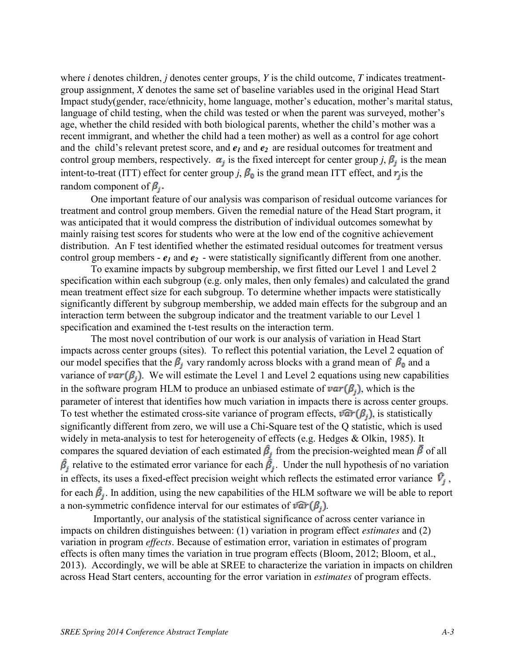where *i* denotes children, *j* denotes center groups, *Y* is the child outcome, *T* indicates treatmentgroup assignment, *X* denotes the same set of baseline variables used in the original Head Start Impact study(gender, race/ethnicity, home language, mother's education, mother's marital status, language of child testing, when the child was tested or when the parent was surveyed, mother's age, whether the child resided with both biological parents, whether the child's mother was a recent immigrant, and whether the child had a teen mother) as well as a control for age cohort and the child's relevant pretest score, and  $e_1$  and  $e_2$  are residual outcomes for treatment and control group members, respectively.  $\alpha_j$  is the fixed intercept for center group *j*,  $\beta_j$  is the mean intent-to-treat (ITT) effect for center group *j*,  $\beta_0$  is the grand mean ITT effect, and  $\vec{r}_j$  is the random component of  $\beta_i$ .

One important feature of our analysis was comparison of residual outcome variances for treatment and control group members. Given the remedial nature of the Head Start program, it was anticipated that it would compress the distribution of individual outcomes somewhat by mainly raising test scores for students who were at the low end of the cognitive achievement distribution. An F test identified whether the estimated residual outcomes for treatment versus control group members -  $e_1$  and  $e_2$  - were statistically significantly different from one another.

To examine impacts by subgroup membership, we first fitted our Level 1 and Level 2 specification within each subgroup (e.g. only males, then only females) and calculated the grand mean treatment effect size for each subgroup. To determine whether impacts were statistically significantly different by subgroup membership, we added main effects for the subgroup and an interaction term between the subgroup indicator and the treatment variable to our Level 1 specification and examined the t-test results on the interaction term.

The most novel contribution of our work is our analysis of variation in Head Start impacts across center groups (sites). To reflect this potential variation, the Level 2 equation of our model specifies that the  $\beta_i$  vary randomly across blocks with a grand mean of  $\beta_0$  and a variance of  $var(\beta_i)$ . We will estimate the Level 1 and Level 2 equations using new capabilities in the software program HLM to produce an unbiased estimate of  $var(\beta_i)$ , which is the parameter of interest that identifies how much variation in impacts there is across center groups. To test whether the estimated cross-site variance of program effects,  $\widehat{var}(\beta_j)$ , is statistically significantly different from zero, we will use a Chi-Square test of the Q statistic, which is used widely in meta-analysis to test for heterogeneity of effects (e.g. Hedges & Olkin, 1985). It compares the squared deviation of each estimated  $\beta_i$  from the precision-weighted mean  $\bar{\beta}$  of all  $\hat{\beta}_i$  relative to the estimated error variance for each  $\hat{\beta}_i$ . Under the null hypothesis of no variation in effects, its uses a fixed-effect precision weight which reflects the estimated error variance  $\vec{V}_i$ , for each  $\hat{\beta}_j$ . In addition, using the new capabilities of the HLM software we will be able to report a non-symmetric confidence interval for our estimates of  $\widehat{var}(\beta_i)$ .

Importantly, our analysis of the statistical significance of across center variance in impacts on children distinguishes between: (1) variation in program effect *estimates* and (2) variation in program *effects*. Because of estimation error, variation in estimates of program effects is often many times the variation in true program effects (Bloom, 2012; Bloom, et al., 2013). Accordingly, we will be able at SREE to characterize the variation in impacts on children across Head Start centers, accounting for the error variation in *estimates* of program effects.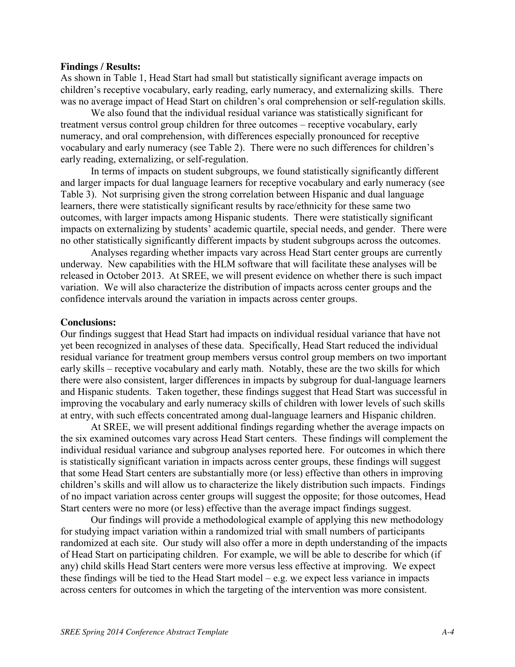#### **Findings / Results:**

As shown in Table 1, Head Start had small but statistically significant average impacts on children's receptive vocabulary, early reading, early numeracy, and externalizing skills. There was no average impact of Head Start on children's oral comprehension or self-regulation skills.

We also found that the individual residual variance was statistically significant for treatment versus control group children for three outcomes – receptive vocabulary, early numeracy, and oral comprehension, with differences especially pronounced for receptive vocabulary and early numeracy (see Table 2). There were no such differences for children's early reading, externalizing, or self-regulation.

In terms of impacts on student subgroups, we found statistically significantly different and larger impacts for dual language learners for receptive vocabulary and early numeracy (see Table 3). Not surprising given the strong correlation between Hispanic and dual language learners, there were statistically significant results by race/ethnicity for these same two outcomes, with larger impacts among Hispanic students. There were statistically significant impacts on externalizing by students' academic quartile, special needs, and gender. There were no other statistically significantly different impacts by student subgroups across the outcomes.

Analyses regarding whether impacts vary across Head Start center groups are currently underway. New capabilities with the HLM software that will facilitate these analyses will be released in October 2013. At SREE, we will present evidence on whether there is such impact variation. We will also characterize the distribution of impacts across center groups and the confidence intervals around the variation in impacts across center groups.

#### **Conclusions:**

Our findings suggest that Head Start had impacts on individual residual variance that have not yet been recognized in analyses of these data. Specifically, Head Start reduced the individual residual variance for treatment group members versus control group members on two important early skills – receptive vocabulary and early math. Notably, these are the two skills for which there were also consistent, larger differences in impacts by subgroup for dual-language learners and Hispanic students. Taken together, these findings suggest that Head Start was successful in improving the vocabulary and early numeracy skills of children with lower levels of such skills at entry, with such effects concentrated among dual-language learners and Hispanic children.

At SREE, we will present additional findings regarding whether the average impacts on the six examined outcomes vary across Head Start centers. These findings will complement the individual residual variance and subgroup analyses reported here. For outcomes in which there is statistically significant variation in impacts across center groups, these findings will suggest that some Head Start centers are substantially more (or less) effective than others in improving children's skills and will allow us to characterize the likely distribution such impacts. Findings of no impact variation across center groups will suggest the opposite; for those outcomes, Head Start centers were no more (or less) effective than the average impact findings suggest.

Our findings will provide a methodological example of applying this new methodology for studying impact variation within a randomized trial with small numbers of participants randomized at each site. Our study will also offer a more in depth understanding of the impacts of Head Start on participating children. For example, we will be able to describe for which (if any) child skills Head Start centers were more versus less effective at improving. We expect these findings will be tied to the Head Start model – e.g. we expect less variance in impacts across centers for outcomes in which the targeting of the intervention was more consistent.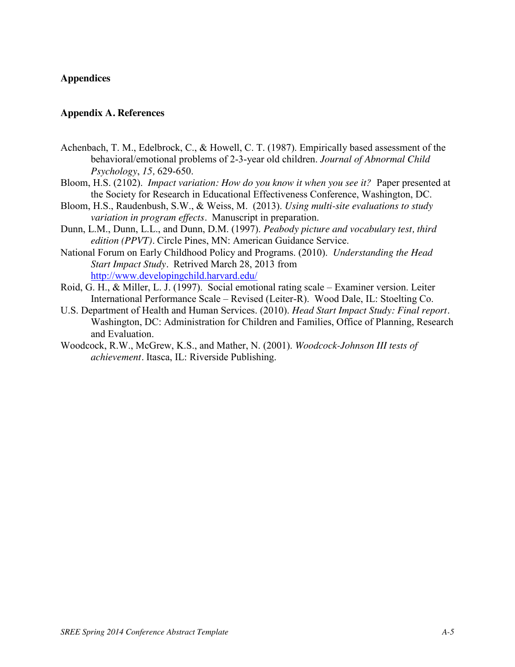## **Appendices**

### **Appendix A. References**

- Achenbach, T. M., Edelbrock, C., & Howell, C. T. (1987). Empirically based assessment of the behavioral/emotional problems of 2-3-year old children. *Journal of Abnormal Child Psychology*, *15,* 629-650.
- Bloom, H.S. (2102). *Impact variation: How do you know it when you see it?* Paper presented at the Society for Research in Educational Effectiveness Conference, Washington, DC.
- Bloom, H.S., Raudenbush, S.W., & Weiss, M. (2013). *Using multi-site evaluations to study variation in program effects.* Manuscript in preparation.
- Dunn, L.M., Dunn, L.L., and Dunn, D.M. (1997). *Peabody picture and vocabulary test, third edition (PPVT).* Circle Pines, MN: American Guidance Service.
- National Forum on Early Childhood Policy and Programs. (2010). *Understanding the Head Start Impact Study.* Retrived March 28, 2013 from <http://www.developingchild.harvard.edu/>
- Roid, G. H., & Miller, L. J. (1997). Social emotional rating scale Examiner version. Leiter International Performance Scale – Revised (Leiter-R). Wood Dale, IL: Stoelting Co.
- U.S. Department of Health and Human Services. (2010). *Head Start Impact Study: Final report.*  Washington, DC: Administration for Children and Families, Office of Planning, Research and Evaluation.
- Woodcock, R.W., McGrew, K.S., and Mather, N. (2001). *Woodcock-Johnson III tests of achievement.* Itasca, IL: Riverside Publishing.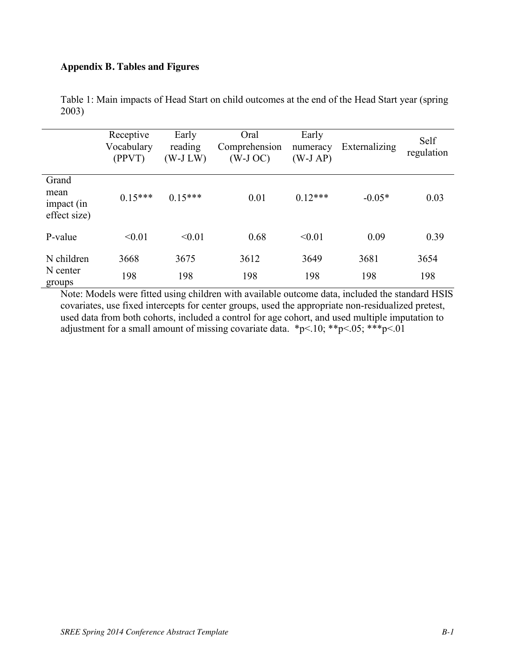# **Appendix B. Tables and Figures**

|                                             | Receptive<br>Vocabulary<br>(PPVT) | Early<br>reading<br>$(W-J LW)$ | Oral<br>Comprehension<br>$(W-J OC)$ | Early<br>numeracy<br>$(W-J AP)$ | Externalizing | Self<br>regulation |
|---------------------------------------------|-----------------------------------|--------------------------------|-------------------------------------|---------------------------------|---------------|--------------------|
| Grand<br>mean<br>impact (in<br>effect size) | $0.15***$                         | $0.15***$                      | 0.01                                | $0.12***$                       | $-0.05*$      | 0.03               |
| P-value                                     | < 0.01                            | < 0.01                         | 0.68                                | < 0.01                          | 0.09          | 0.39               |
| N children<br>N center<br>groups            | 3668<br>198                       | 3675<br>198                    | 3612<br>198                         | 3649<br>198                     | 3681<br>198   | 3654<br>198        |

Table 1: Main impacts of Head Start on child outcomes at the end of the Head Start year (spring 2003)

Note: Models were fitted using children with available outcome data, included the standard HSIS covariates, use fixed intercepts for center groups, used the appropriate non-residualized pretest, used data from both cohorts, included a control for age cohort, and used multiple imputation to adjustment for a small amount of missing covariate data. \*p<.10; \*\*p<.05; \*\*\*p<.01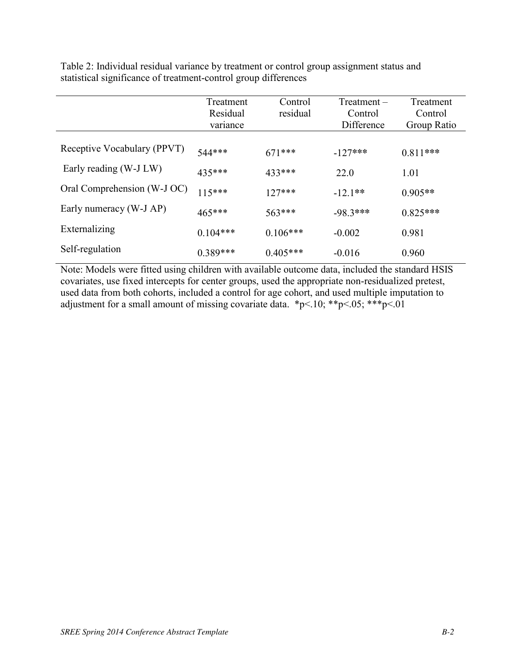Table 2: Individual residual variance by treatment or control group assignment status and statistical significance of treatment-control group differences

|                             | Treatment<br>Residual<br>variance | Control<br>residual | Treatment –<br>Control<br>Difference | Treatment<br>Control<br>Group Ratio |
|-----------------------------|-----------------------------------|---------------------|--------------------------------------|-------------------------------------|
| Receptive Vocabulary (PPVT) | 544***                            | $671***$            | $-127***$                            | $0.811***$                          |
| Early reading (W-J LW)      | 435***                            | 433***              | 22.0                                 | 1.01                                |
| Oral Comprehension (W-J OC) | $115***$                          | $127***$            | $-12.1**$                            | $0.905**$                           |
| Early numeracy (W-J AP)     | $465***$                          | $563***$            | $-98.3***$                           | $0.825***$                          |
| Externalizing               | $0.104***$                        | $0.106***$          | $-0.002$                             | 0.981                               |
| Self-regulation             | $0.389***$                        | $0.405***$          | $-0.016$                             | 0.960                               |

Note: Models were fitted using children with available outcome data, included the standard HSIS covariates, use fixed intercepts for center groups, used the appropriate non-residualized pretest, used data from both cohorts, included a control for age cohort, and used multiple imputation to adjustment for a small amount of missing covariate data. \*p<.10; \*\*p<.05; \*\*\*p<.01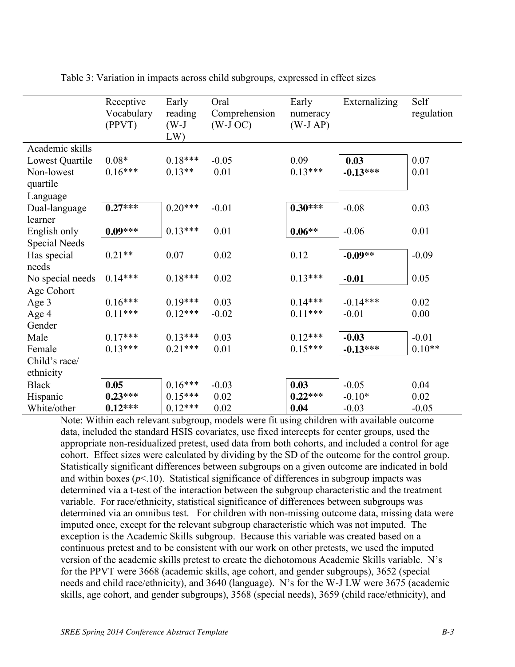|                        | Receptive<br>Vocabulary<br>(PPVT) | Early<br>reading<br>$(W-J)$<br>LW | Oral<br>Comprehension<br>$(W-J OC)$ | Early<br>numeracy<br>$(W-J AP)$ | Externalizing | Self<br>regulation |
|------------------------|-----------------------------------|-----------------------------------|-------------------------------------|---------------------------------|---------------|--------------------|
| Academic skills        |                                   |                                   |                                     |                                 |               |                    |
| Lowest Quartile        | $0.08*$                           | $0.18***$                         | $-0.05$                             | 0.09                            | 0.03          | 0.07               |
| Non-lowest<br>quartile | $0.16***$                         | $0.13**$                          | 0.01                                | $0.13***$                       | $-0.13***$    | 0.01               |
| Language               |                                   |                                   |                                     |                                 |               |                    |
| Dual-language          | $0.27***$                         | $0.20***$                         | $-0.01$                             | $0.30***$                       | $-0.08$       | 0.03               |
| learner                |                                   |                                   |                                     |                                 |               |                    |
| English only           | $0.09***$                         | $0.13***$                         | 0.01                                | $0.06**$                        | $-0.06$       | 0.01               |
| <b>Special Needs</b>   |                                   |                                   |                                     |                                 |               |                    |
| Has special            | $0.21**$                          | 0.07                              | 0.02                                | 0.12                            | $-0.09**$     | $-0.09$            |
| needs                  |                                   |                                   |                                     |                                 |               |                    |
| No special needs       | $0.14***$                         | $0.18***$                         | 0.02                                | $0.13***$                       | $-0.01$       | 0.05               |
| Age Cohort             |                                   |                                   |                                     |                                 |               |                    |
| Age 3                  | $0.16***$                         | $0.19***$                         | 0.03                                | $0.14***$                       | $-0.14***$    | 0.02               |
| Age 4                  | $0.11***$                         | $0.12***$                         | $-0.02$                             | $0.11***$                       | $-0.01$       | 0.00               |
| Gender                 |                                   |                                   |                                     |                                 |               |                    |
| Male                   | $0.17***$                         | $0.13***$                         | 0.03                                | $0.12***$                       | $-0.03$       | $-0.01$            |
| Female                 | $0.13***$                         | $0.21***$                         | 0.01                                | $0.15***$                       | $-0.13***$    | $0.10**$           |
| Child's race/          |                                   |                                   |                                     |                                 |               |                    |
| ethnicity              |                                   |                                   |                                     |                                 |               |                    |
| <b>Black</b>           | 0.05                              | $0.16***$                         | $-0.03$                             | 0.03                            | $-0.05$       | 0.04               |
| Hispanic               | $0.23***$                         | $0.15***$                         | 0.02                                | $0.22***$                       | $-0.10*$      | 0.02               |
| White/other            | $0.12***$                         | $0.12***$                         | 0.02                                | 0.04                            | $-0.03$       | $-0.05$            |

Table 3: Variation in impacts across child subgroups, expressed in effect sizes

Note: Within each relevant subgroup, models were fit using children with available outcome data, included the standard HSIS covariates, use fixed intercepts for center groups, used the appropriate non-residualized pretest, used data from both cohorts, and included a control for age cohort. Effect sizes were calculated by dividing by the SD of the outcome for the control group. Statistically significant differences between subgroups on a given outcome are indicated in bold and within boxes  $(p<10)$ . Statistical significance of differences in subgroup impacts was determined via a t-test of the interaction between the subgroup characteristic and the treatment variable. For race/ethnicity, statistical significance of differences between subgroups was determined via an omnibus test. For children with non-missing outcome data, missing data were imputed once, except for the relevant subgroup characteristic which was not imputed. The exception is the Academic Skills subgroup. Because this variable was created based on a continuous pretest and to be consistent with our work on other pretests, we used the imputed version of the academic skills pretest to create the dichotomous Academic Skills variable. N's for the PPVT were 3668 (academic skills, age cohort, and gender subgroups), 3652 (special needs and child race/ethnicity), and 3640 (language). N's for the W-J LW were 3675 (academic skills, age cohort, and gender subgroups), 3568 (special needs), 3659 (child race/ethnicity), and